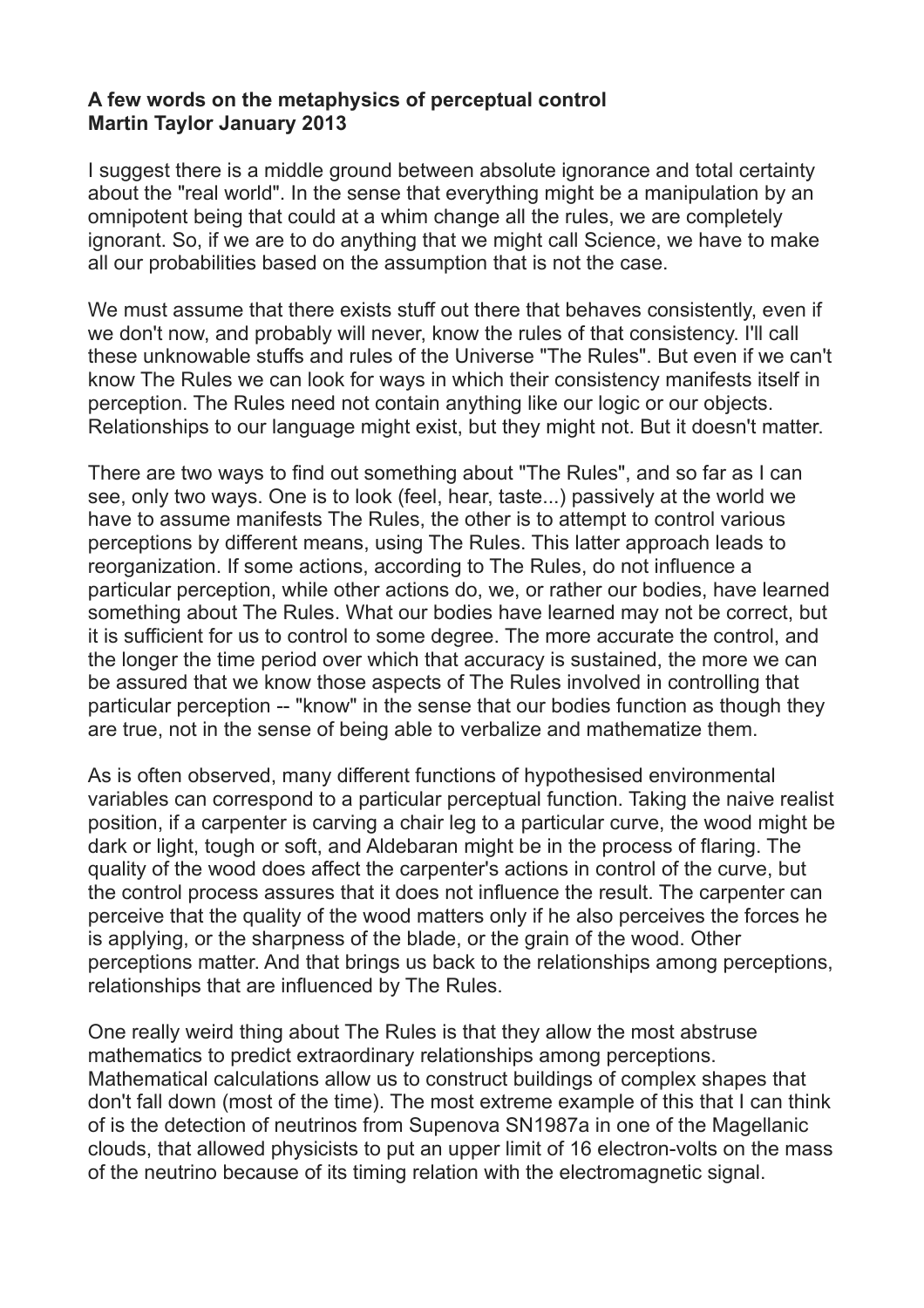## **A few words on the metaphysics of perceptual control Martin Taylor January 2013**

I suggest there is a middle ground between absolute ignorance and total certainty about the "real world". In the sense that everything might be a manipulation by an omnipotent being that could at a whim change all the rules, we are completely ignorant. So, if we are to do anything that we might call Science, we have to make all our probabilities based on the assumption that is not the case.

We must assume that there exists stuff out there that behaves consistently, even if we don't now, and probably will never, know the rules of that consistency. I'll call these unknowable stuffs and rules of the Universe "The Rules". But even if we can't know The Rules we can look for ways in which their consistency manifests itself in perception. The Rules need not contain anything like our logic or our objects. Relationships to our language might exist, but they might not. But it doesn't matter.

There are two ways to find out something about "The Rules", and so far as I can see, only two ways. One is to look (feel, hear, taste...) passively at the world we have to assume manifests The Rules, the other is to attempt to control various perceptions by different means, using The Rules. This latter approach leads to reorganization. If some actions, according to The Rules, do not influence a particular perception, while other actions do, we, or rather our bodies, have learned something about The Rules. What our bodies have learned may not be correct, but it is sufficient for us to control to some degree. The more accurate the control, and the longer the time period over which that accuracy is sustained, the more we can be assured that we know those aspects of The Rules involved in controlling that particular perception -- "know" in the sense that our bodies function as though they are true, not in the sense of being able to verbalize and mathematize them.

As is often observed, many different functions of hypothesised environmental variables can correspond to a particular perceptual function. Taking the naive realist position, if a carpenter is carving a chair leg to a particular curve, the wood might be dark or light, tough or soft, and Aldebaran might be in the process of flaring. The quality of the wood does affect the carpenter's actions in control of the curve, but the control process assures that it does not influence the result. The carpenter can perceive that the quality of the wood matters only if he also perceives the forces he is applying, or the sharpness of the blade, or the grain of the wood. Other perceptions matter. And that brings us back to the relationships among perceptions, relationships that are influenced by The Rules.

One really weird thing about The Rules is that they allow the most abstruse mathematics to predict extraordinary relationships among perceptions. Mathematical calculations allow us to construct buildings of complex shapes that don't fall down (most of the time). The most extreme example of this that I can think of is the detection of neutrinos from Supenova SN1987a in one of the Magellanic clouds, that allowed physicists to put an upper limit of 16 electron-volts on the mass of the neutrino because of its timing relation with the electromagnetic signal.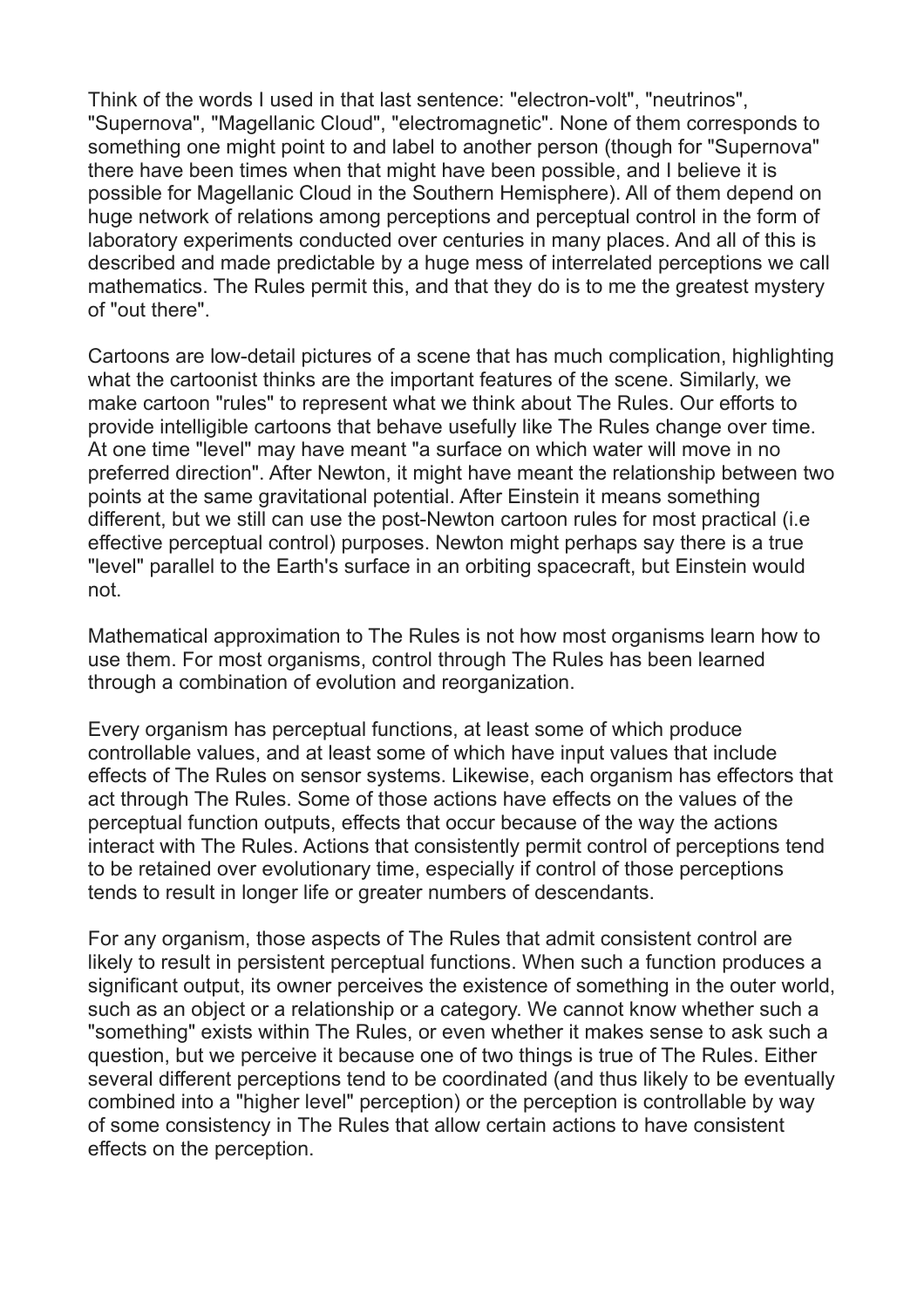Think of the words I used in that last sentence: "electron-volt", "neutrinos", "Supernova", "Magellanic Cloud", "electromagnetic". None of them corresponds to something one might point to and label to another person (though for "Supernova" there have been times when that might have been possible, and I believe it is possible for Magellanic Cloud in the Southern Hemisphere). All of them depend on huge network of relations among perceptions and perceptual control in the form of laboratory experiments conducted over centuries in many places. And all of this is described and made predictable by a huge mess of interrelated perceptions we call mathematics. The Rules permit this, and that they do is to me the greatest mystery of "out there".

Cartoons are low-detail pictures of a scene that has much complication, highlighting what the cartoonist thinks are the important features of the scene. Similarly, we make cartoon "rules" to represent what we think about The Rules. Our efforts to provide intelligible cartoons that behave usefully like The Rules change over time. At one time "level" may have meant "a surface on which water will move in no preferred direction". After Newton, it might have meant the relationship between two points at the same gravitational potential. After Einstein it means something different, but we still can use the post-Newton cartoon rules for most practical (i.e effective perceptual control) purposes. Newton might perhaps say there is a true "level" parallel to the Earth's surface in an orbiting spacecraft, but Einstein would not.

Mathematical approximation to The Rules is not how most organisms learn how to use them. For most organisms, control through The Rules has been learned through a combination of evolution and reorganization.

Every organism has perceptual functions, at least some of which produce controllable values, and at least some of which have input values that include effects of The Rules on sensor systems. Likewise, each organism has effectors that act through The Rules. Some of those actions have effects on the values of the perceptual function outputs, effects that occur because of the way the actions interact with The Rules. Actions that consistently permit control of perceptions tend to be retained over evolutionary time, especially if control of those perceptions tends to result in longer life or greater numbers of descendants.

For any organism, those aspects of The Rules that admit consistent control are likely to result in persistent perceptual functions. When such a function produces a significant output, its owner perceives the existence of something in the outer world, such as an object or a relationship or a category. We cannot know whether such a "something" exists within The Rules, or even whether it makes sense to ask such a question, but we perceive it because one of two things is true of The Rules. Either several different perceptions tend to be coordinated (and thus likely to be eventually combined into a "higher level" perception) or the perception is controllable by way of some consistency in The Rules that allow certain actions to have consistent effects on the perception.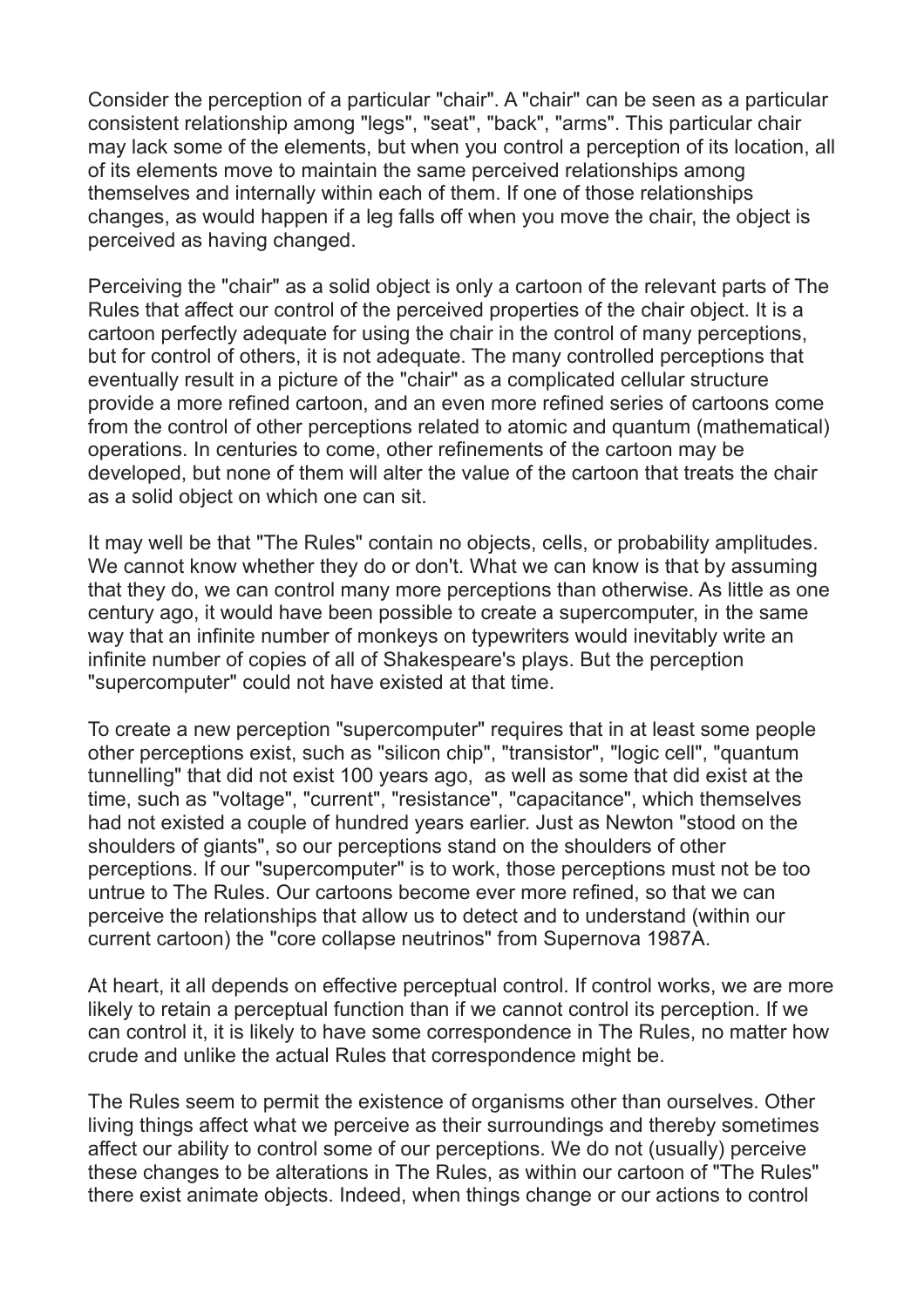Consider the perception of a particular "chair". A "chair" can be seen as a particular consistent relationship among "legs", "seat", "back", "arms". This particular chair may lack some of the elements, but when you control a perception of its location, all of its elements move to maintain the same perceived relationships among themselves and internally within each of them. If one of those relationships changes, as would happen if a leg falls off when you move the chair, the object is perceived as having changed.

Perceiving the "chair" as a solid object is only a cartoon of the relevant parts of The Rules that affect our control of the perceived properties of the chair object. It is a cartoon perfectly adequate for using the chair in the control of many perceptions, but for control of others, it is not adequate. The many controlled perceptions that eventually result in a picture of the "chair" as a complicated cellular structure provide a more refined cartoon, and an even more refined series of cartoons come from the control of other perceptions related to atomic and quantum (mathematical) operations. In centuries to come, other refinements of the cartoon may be developed, but none of them will alter the value of the cartoon that treats the chair as a solid object on which one can sit.

It may well be that "The Rules" contain no objects, cells, or probability amplitudes. We cannot know whether they do or don't. What we can know is that by assuming that they do, we can control many more perceptions than otherwise. As little as one century ago, it would have been possible to create a supercomputer, in the same way that an infinite number of monkeys on typewriters would inevitably write an infinite number of copies of all of Shakespeare's plays. But the perception "supercomputer" could not have existed at that time.

To create a new perception "supercomputer" requires that in at least some people other perceptions exist, such as "silicon chip", "transistor", "logic cell", "quantum tunnelling" that did not exist 100 years ago, as well as some that did exist at the time, such as "voltage", "current", "resistance", "capacitance", which themselves had not existed a couple of hundred years earlier. Just as Newton "stood on the shoulders of giants", so our perceptions stand on the shoulders of other perceptions. If our "supercomputer" is to work, those perceptions must not be too untrue to The Rules. Our cartoons become ever more refined, so that we can perceive the relationships that allow us to detect and to understand (within our current cartoon) the "core collapse neutrinos" from Supernova 1987A.

At heart, it all depends on effective perceptual control. If control works, we are more likely to retain a perceptual function than if we cannot control its perception. If we can control it, it is likely to have some correspondence in The Rules, no matter how crude and unlike the actual Rules that correspondence might be.

The Rules seem to permit the existence of organisms other than ourselves. Other living things affect what we perceive as their surroundings and thereby sometimes affect our ability to control some of our perceptions. We do not (usually) perceive these changes to be alterations in The Rules, as within our cartoon of "The Rules" there exist animate objects. Indeed, when things change or our actions to control